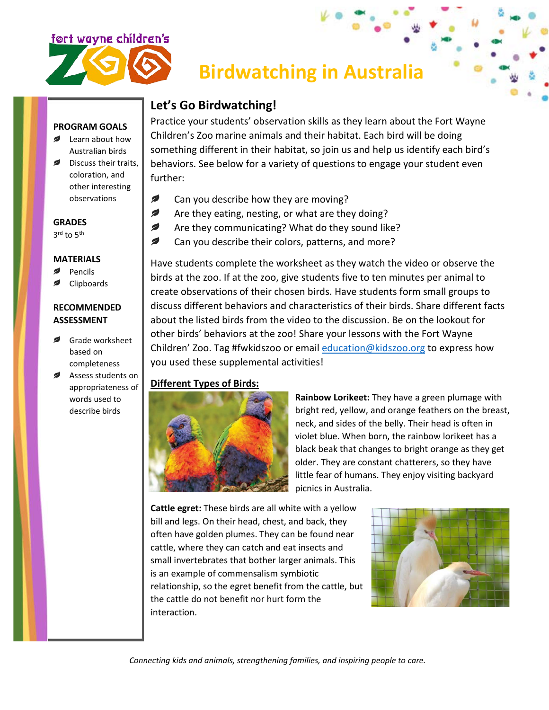

**PROGRAM GOALS** Learn about how Australian birds

> coloration, and other interesting observations

# **Birdwatching in Australia**

## **Let's Go Birdwatching!**

Practice your students' observation skills as they learn about the Fort Wayne Children's Zoo marine animals and their habitat. Each bird will be doing something different in their habitat, so join us and help us identify each bird's behaviors. See below for a variety of questions to engage your student even further: Discuss their traits,

- Ø Can you describe how they are moving?
- Ø Are they eating, nesting, or what are they doing?
- Ø Are they communicating? What do they sound like?
- Ø

Have students complete the worksheet as they watch the video or observe the birds at the zoo. If at the zoo, give students five to ten minutes per animal to create observations of their chosen birds. Have students form small groups to discuss different behaviors and characteristics of their birds. Share different facts about the listed birds from the video to the discussion. Be on the lookout for other birds' behaviors at the zoo! Share your lessons with the Fort Wayne Children' Zoo. Tag #fwkidszoo or email  $education@kidszoo.org$  to express how you used these supplemental activities!

### **Different Types of Birds:**



**Rainbow Lorikeet:** They have a green plumage with bright red, yellow, and orange feathers on the breast, neck, and sides of the belly. Their head is often in violet blue. When born, the rainbow lorikeet has a black beak that changes to bright orange as they get older. They are constant chatterers, so they have little fear of humans. They enjoy visiting backyard picnics in Australia.

**Cattle egret:** These birds are all white with a yellow bill and legs. On their head, chest, and back, they often have golden plumes. They can be found near cattle, where they can catch and eat insects and small invertebrates that bother larger animals. This is an example of commensalism symbiotic relationship, so the egret benefit from the cattle, but the cattle do not benefit nor hurt form the interaction.



- 
- 
- Can you describe their colors, patterns, and more?

**MATERIALS** Pencils ø

**GRADES**  $3^{\text{rd}}$  to  $5^{\text{th}}$ 

ø

Clipboards

#### **RECOMMENDED ASSESSMENT**

- Grade worksheet based on completeness
- Assess students on appropriateness of words used to describe birds

*Connecting kids and animals, strengthening families, and inspiring people to care.*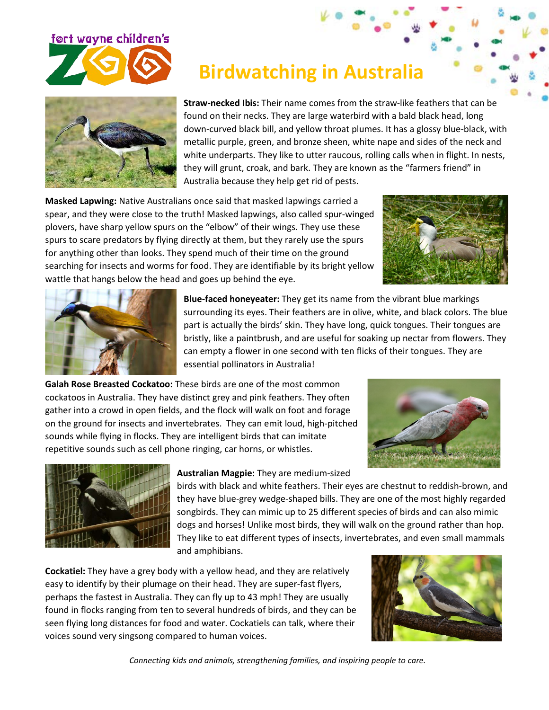

**Straw-necked Ibis:** Their name comes from the straw-like feathers that can be found on their necks. They are large waterbird with a bald black head, long down-curved black bill, and yellow throat plumes. It has a glossy blue-black, with metallic purple, green, and bronze sheen, white nape and sides of the neck and white underparts. They like to utter raucous, rolling calls when in flight. In nests,

 **Birdwatching in Australia**

they will grunt, croak, and bark. They are known as the "farmers friend" in Australia because they help get rid of pests.

**Masked Lapwing:** Native Australians once said that masked lapwings carried a spear, and they were close to the truth! Masked lapwings, also called spur-winged plovers, have sharp yellow spurs on the "elbow" of their wings. They use these spurs to scare predators by flying directly at them, but they rarely use the spurs for anything other than looks. They spend much of their time on the ground searching for insects and worms for food. They are identifiable by its bright yellow wattle that hangs below the head and goes up behind the eye.





**Blue-faced honeyeater:** They get its name from the vibrant blue markings surrounding its eyes. Their feathers are in olive, white, and black colors. The blue part is actually the birds' skin. They have long, quick tongues. Their tongues are bristly, like a paintbrush, and are useful for soaking up nectar from flowers. They can empty a flower in one second with ten flicks of their tongues. They are essential pollinators in Australia!

**Galah Rose Breasted Cockatoo:** These birds are one of the most common cockatoos in Australia. They have distinct grey and pink feathers. They often gather into a crowd in open fields, and the flock will walk on foot and forage on the ground for insects and invertebrates. They can emit loud, high-pitched sounds while flying in flocks. They are intelligent birds that can imitate repetitive sounds such as cell phone ringing, car horns, or whistles.





**Australian Magpie:** They are medium-sized

birds with black and white feathers. Their eyes are chestnut to reddish-brown, and they have blue-grey wedge-shaped bills. They are one of the most highly regarded songbirds. They can mimic up to 25 different species of birds and can also mimic dogs and horses! Unlike most birds, they will walk on the ground rather than hop. They like to eat different types of insects, invertebrates, and even small mammals and amphibians.

**Cockatiel:** They have a grey body with a yellow head, and they are relatively easy to identify by their plumage on their head. They are super-fast flyers, perhaps the fastest in Australia. They can fly up to 43 mph! They are usually found in flocks ranging from ten to several hundreds of birds, and they can be seen flying long distances for food and water. Cockatiels can talk, where their voices sound very singsong compared to human voices.



*Connecting kids and animals, strengthening families, and inspiring people to care.*